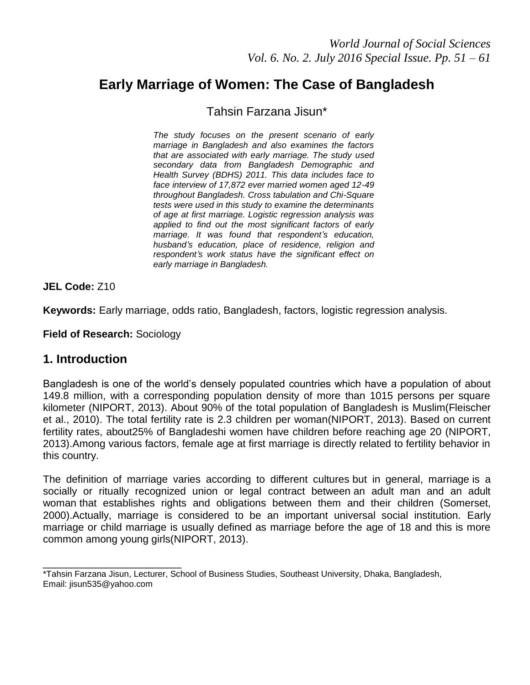# **Early Marriage of Women: The Case of Bangladesh**

Tahsin Farzana Jisun\*

*The study focuses on the present scenario of early marriage in Bangladesh and also examines the factors that are associated with early marriage. The study used secondary data from Bangladesh Demographic and Health Survey (BDHS) 2011. This data includes face to face interview of 17,872 ever married women aged 12-49 throughout Bangladesh. Cross tabulation and Chi-Square tests were used in this study to examine the determinants of age at first marriage. Logistic regression analysis was applied to find out the most significant factors of early marriage. It was found that respondent's education, husband's education, place of residence, religion and respondent's work status have the significant effect on early marriage in Bangladesh.* 

**JEL Code:** Z10

**Keywords:** Early marriage, odds ratio, Bangladesh, factors, logistic regression analysis.

**Field of Research:** Sociology

## **1. Introduction**

Bangladesh is one of the world"s densely populated countries which have a population of about 149.8 million, with a corresponding population density of more than 1015 persons per square kilometer (NIPORT, 2013). About 90% of the total population of Bangladesh is Muslim(Fleischer et al., 2010). The total fertility rate is 2.3 children per woman(NIPORT, 2013). Based on current fertility rates, about25% of Bangladeshi women have children before reaching age 20 (NIPORT, 2013).Among various factors, female age at first marriage is directly related to fertility behavior in this country.

The definition of marriage varies according to different cultures but in general, marriage is a socially or ritually recognized union or legal contract between an adult man and an adult woman that establishes rights and obligations between them and their children (Somerset, 2000).Actually, marriage is considered to be an important universal social institution. Early marriage or child marriage is usually defined as marriage before the age of 18 and this is more common among young girls(NIPORT, 2013).

\_\_\_\_\_\_\_\_\_\_\_\_\_\_\_\_\_\_\_\_\_\_\_\_ \*Tahsin Farzana Jisun, Lecturer, School of Business Studies, Southeast University, Dhaka, Bangladesh, Email: jisun535@yahoo.com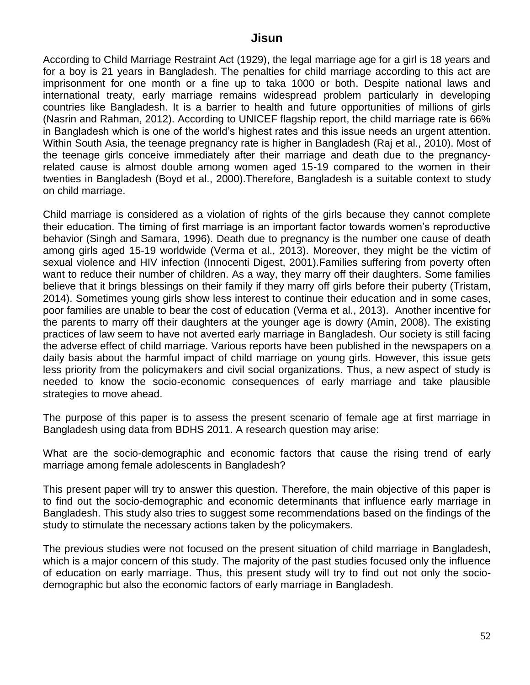According to Child Marriage Restraint Act (1929), the legal marriage age for a girl is 18 years and for a boy is 21 years in Bangladesh. The penalties for child marriage according to this act are imprisonment for one month or a fine up to taka 1000 or both. Despite national laws and international treaty, early marriage remains widespread problem particularly in developing countries like Bangladesh. It is a barrier to health and future opportunities of millions of girls (Nasrin and Rahman, 2012). According to UNICEF flagship report, the child marriage rate is 66% in Bangladesh which is one of the world"s highest rates and this issue needs an urgent attention. Within South Asia, the teenage pregnancy rate is higher in Bangladesh (Raj et al., 2010). Most of the teenage girls conceive immediately after their marriage and death due to the pregnancyrelated cause is almost double among women aged 15-19 compared to the women in their twenties in Bangladesh (Boyd et al., 2000).Therefore, Bangladesh is a suitable context to study on child marriage.

Child marriage is considered as a violation of rights of the girls because they cannot complete their education. The timing of first marriage is an important factor towards women"s reproductive behavior (Singh and Samara, 1996). Death due to pregnancy is the number one cause of death among girls aged 15-19 worldwide (Verma et al., 2013). Moreover, they might be the victim of sexual violence and HIV infection (Innocenti Digest, 2001).Families suffering from poverty often want to reduce their number of children. As a way, they marry off their daughters. Some families believe that it brings blessings on their family if they marry off girls before their puberty (Tristam, 2014). Sometimes young girls show less interest to continue their education and in some cases, poor families are unable to bear the cost of education (Verma et al., 2013). Another incentive for the parents to marry off their daughters at the younger age is dowry (Amin, 2008). The existing practices of law seem to have not averted early marriage in Bangladesh. Our society is still facing the adverse effect of child marriage. Various reports have been published in the newspapers on a daily basis about the harmful impact of child marriage on young girls. However, this issue gets less priority from the policymakers and civil social organizations. Thus, a new aspect of study is needed to know the socio-economic consequences of early marriage and take plausible strategies to move ahead.

The purpose of this paper is to assess the present scenario of female age at first marriage in Bangladesh using data from BDHS 2011. A research question may arise:

What are the socio-demographic and economic factors that cause the rising trend of early marriage among female adolescents in Bangladesh?

This present paper will try to answer this question. Therefore, the main objective of this paper is to find out the socio-demographic and economic determinants that influence early marriage in Bangladesh. This study also tries to suggest some recommendations based on the findings of the study to stimulate the necessary actions taken by the policymakers.

The previous studies were not focused on the present situation of child marriage in Bangladesh, which is a major concern of this study. The majority of the past studies focused only the influence of education on early marriage. Thus, this present study will try to find out not only the sociodemographic but also the economic factors of early marriage in Bangladesh.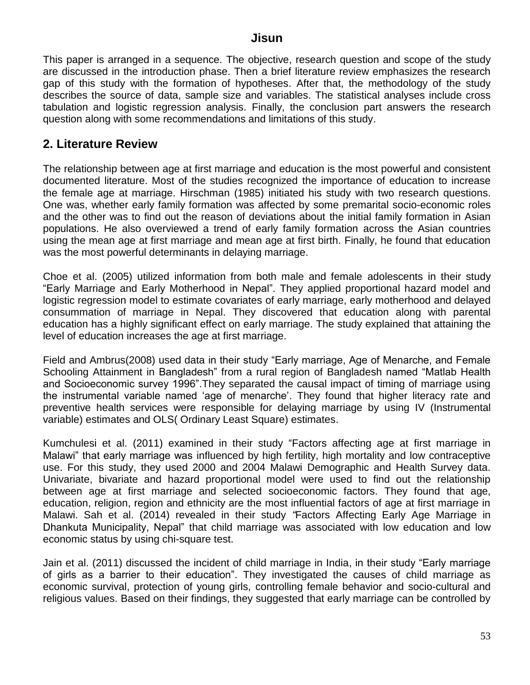This paper is arranged in a sequence. The objective, research question and scope of the study are discussed in the introduction phase. Then a brief literature review emphasizes the research gap of this study with the formation of hypotheses. After that, the methodology of the study describes the source of data, sample size and variables. The statistical analyses include cross tabulation and logistic regression analysis. Finally, the conclusion part answers the research question along with some recommendations and limitations of this study.

## **2. Literature Review**

The relationship between age at first marriage and education is the most powerful and consistent documented literature. Most of the studies recognized the importance of education to increase the female age at marriage. Hirschman (1985) initiated his study with two research questions. One was, whether early family formation was affected by some premarital socio-economic roles and the other was to find out the reason of deviations about the initial family formation in Asian populations. He also overviewed a trend of early family formation across the Asian countries using the mean age at first marriage and mean age at first birth. Finally, he found that education was the most powerful determinants in delaying marriage.

Choe et al. (2005) utilized information from both male and female adolescents in their study "Early Marriage and Early Motherhood in Nepal". They applied proportional hazard model and logistic regression model to estimate covariates of early marriage, early motherhood and delayed consummation of marriage in Nepal. They discovered that education along with parental education has a highly significant effect on early marriage. The study explained that attaining the level of education increases the age at first marriage.

Field and Ambrus(2008) used data in their study "Early marriage, Age of Menarche, and Female Schooling Attainment in Bangladesh" from a rural region of Bangladesh named "Matlab Health and Socioeconomic survey 1996".They separated the causal impact of timing of marriage using the instrumental variable named "age of menarche". They found that higher literacy rate and preventive health services were responsible for delaying marriage by using IV (Instrumental variable) estimates and OLS( Ordinary Least Square) estimates.

Kumchulesi et al. (2011) examined in their study "Factors affecting age at first marriage in Malawi" that early marriage was influenced by high fertility, high mortality and low contraceptive use. For this study, they used 2000 and 2004 Malawi Demographic and Health Survey data. Univariate, bivariate and hazard proportional model were used to find out the relationship between age at first marriage and selected socioeconomic factors. They found that age, education, religion, region and ethnicity are the most influential factors of age at first marriage in Malawi. Sah et al. (2014) revealed in their study *"*Factors Affecting Early Age Marriage in Dhankuta Municipality, Nepal" that child marriage was associated with low education and low economic status by using chi-square test.

Jain et al. (2011) discussed the incident of child marriage in India, in their study "Early marriage of girls as a barrier to their education". They investigated the causes of child marriage as economic survival, protection of young girls, controlling female behavior and socio-cultural and religious values. Based on their findings, they suggested that early marriage can be controlled by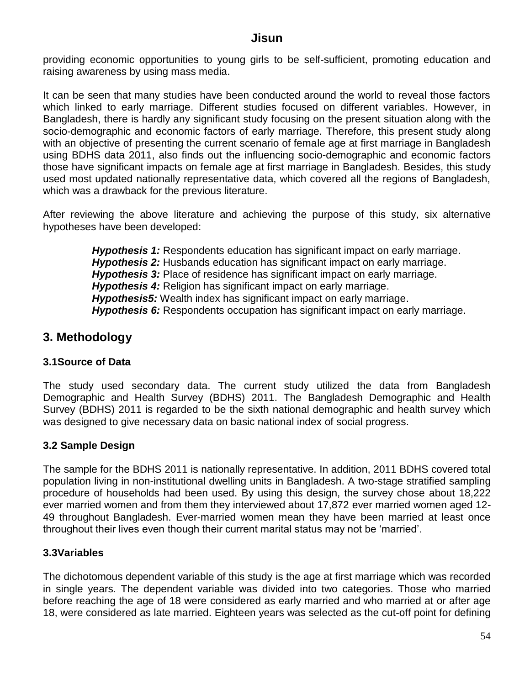providing economic opportunities to young girls to be self-sufficient, promoting education and raising awareness by using mass media.

It can be seen that many studies have been conducted around the world to reveal those factors which linked to early marriage. Different studies focused on different variables. However, in Bangladesh, there is hardly any significant study focusing on the present situation along with the socio-demographic and economic factors of early marriage. Therefore, this present study along with an objective of presenting the current scenario of female age at first marriage in Bangladesh using BDHS data 2011, also finds out the influencing socio-demographic and economic factors those have significant impacts on female age at first marriage in Bangladesh. Besides, this study used most updated nationally representative data, which covered all the regions of Bangladesh, which was a drawback for the previous literature.

After reviewing the above literature and achieving the purpose of this study, six alternative hypotheses have been developed:

> *Hypothesis 1:* Respondents education has significant impact on early marriage. *Hypothesis 2:* Husbands education has significant impact on early marriage. *Hypothesis 3:* Place of residence has significant impact on early marriage. *Hypothesis 4:* Religion has significant impact on early marriage. *Hypothesis5:* Wealth index has significant impact on early marriage. *Hypothesis 6:* Respondents occupation has significant impact on early marriage.

## **3. Methodology**

#### **3.1Source of Data**

The study used secondary data. The current study utilized the data from Bangladesh Demographic and Health Survey (BDHS) 2011. The Bangladesh Demographic and Health Survey (BDHS) 2011 is regarded to be the sixth national demographic and health survey which was designed to give necessary data on basic national index of social progress.

#### **3.2 Sample Design**

The sample for the BDHS 2011 is nationally representative. In addition, 2011 BDHS covered total population living in non-institutional dwelling units in Bangladesh. A two-stage stratified sampling procedure of households had been used. By using this design, the survey chose about 18,222 ever married women and from them they interviewed about 17,872 ever married women aged 12- 49 throughout Bangladesh. Ever-married women mean they have been married at least once throughout their lives even though their current marital status may not be "married".

#### **3.3Variables**

The dichotomous dependent variable of this study is the age at first marriage which was recorded in single years. The dependent variable was divided into two categories. Those who married before reaching the age of 18 were considered as early married and who married at or after age 18, were considered as late married. Eighteen years was selected as the cut-off point for defining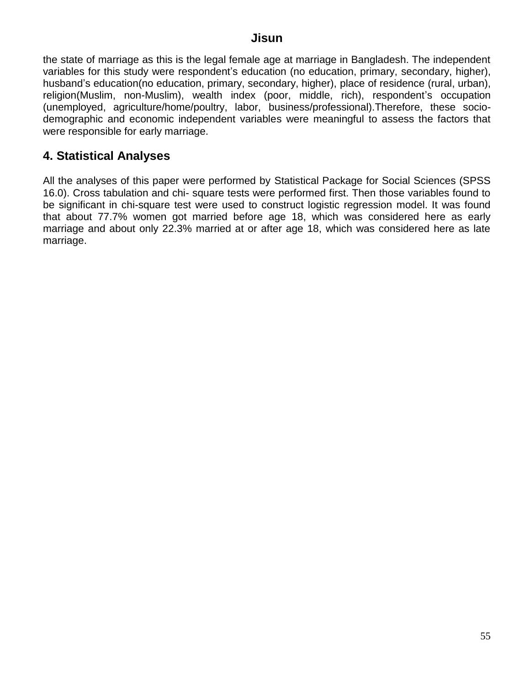the state of marriage as this is the legal female age at marriage in Bangladesh. The independent variables for this study were respondent"s education (no education, primary, secondary, higher), husband"s education(no education, primary, secondary, higher), place of residence (rural, urban), religion(Muslim, non-Muslim), wealth index (poor, middle, rich), respondent's occupation (unemployed, agriculture/home/poultry, labor, business/professional).Therefore, these sociodemographic and economic independent variables were meaningful to assess the factors that were responsible for early marriage.

## **4. Statistical Analyses**

All the analyses of this paper were performed by Statistical Package for Social Sciences (SPSS 16.0). Cross tabulation and chi- square tests were performed first. Then those variables found to be significant in chi-square test were used to construct logistic regression model. It was found that about 77.7% women got married before age 18, which was considered here as early marriage and about only 22.3% married at or after age 18, which was considered here as late marriage.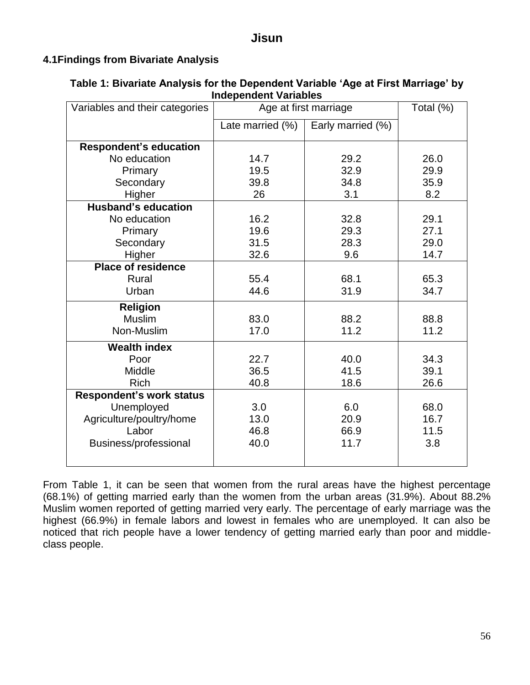#### **4.1Findings from Bivariate Analysis**

| independent variables           |                       |                   |      |  |  |  |  |
|---------------------------------|-----------------------|-------------------|------|--|--|--|--|
| Variables and their categories  | Age at first marriage | Total (%)         |      |  |  |  |  |
|                                 | Late married (%)      | Early married (%) |      |  |  |  |  |
| <b>Respondent's education</b>   |                       |                   |      |  |  |  |  |
| No education                    | 14.7                  | 29.2              | 26.0 |  |  |  |  |
| Primary                         | 19.5                  | 32.9              | 29.9 |  |  |  |  |
| Secondary                       | 39.8                  | 34.8              | 35.9 |  |  |  |  |
| Higher                          | 26                    | 3.1               | 8.2  |  |  |  |  |
| <b>Husband's education</b>      |                       |                   |      |  |  |  |  |
| No education                    | 16.2                  | 32.8              | 29.1 |  |  |  |  |
| Primary                         | 19.6                  | 29.3              | 27.1 |  |  |  |  |
| Secondary                       | 31.5                  | 28.3              | 29.0 |  |  |  |  |
| Higher                          | 32.6                  | 9.6               | 14.7 |  |  |  |  |
| <b>Place of residence</b>       |                       |                   |      |  |  |  |  |
| Rural                           | 55.4                  | 68.1              | 65.3 |  |  |  |  |
| Urban                           | 44.6                  | 31.9              | 34.7 |  |  |  |  |
| <b>Religion</b>                 |                       |                   |      |  |  |  |  |
| <b>Muslim</b>                   | 83.0                  | 88.2              | 88.8 |  |  |  |  |
| Non-Muslim                      | 17.0                  | 11.2              | 11.2 |  |  |  |  |
| <b>Wealth index</b>             |                       |                   |      |  |  |  |  |
| Poor                            | 22.7                  | 40.0              | 34.3 |  |  |  |  |
| Middle                          | 36.5                  | 41.5              | 39.1 |  |  |  |  |
| <b>Rich</b>                     | 40.8                  | 18.6              | 26.6 |  |  |  |  |
| <b>Respondent's work status</b> |                       |                   |      |  |  |  |  |
| Unemployed                      | 3.0                   | 6.0               | 68.0 |  |  |  |  |
| Agriculture/poultry/home        | 13.0                  | 20.9              | 16.7 |  |  |  |  |
| Labor                           | 46.8                  | 66.9              | 11.5 |  |  |  |  |
| Business/professional           | 40.0                  | 11.7              | 3.8  |  |  |  |  |
|                                 |                       |                   |      |  |  |  |  |
|                                 |                       |                   |      |  |  |  |  |

#### **Table 1: Bivariate Analysis for the Dependent Variable 'Age at First Marriage' by Independent Variables**

From Table 1, it can be seen that women from the rural areas have the highest percentage (68.1%) of getting married early than the women from the urban areas (31.9%). About 88.2% Muslim women reported of getting married very early. The percentage of early marriage was the highest (66.9%) in female labors and lowest in females who are unemployed. It can also be noticed that rich people have a lower tendency of getting married early than poor and middleclass people.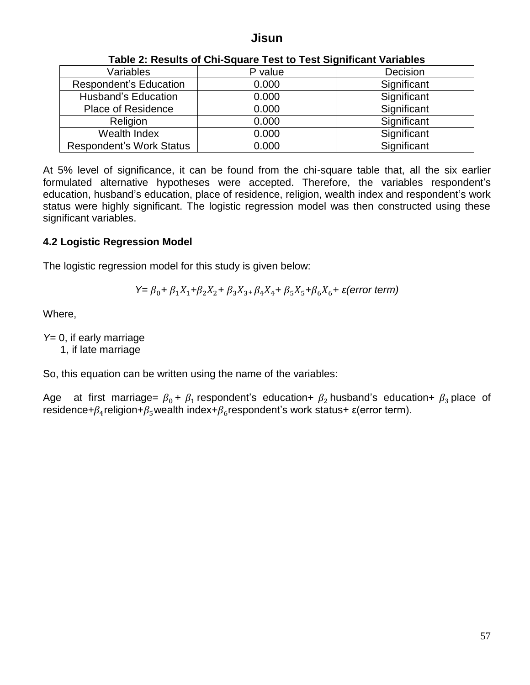| rapid 2. hoodito of ohr oquare root to root orginitoant variables |         |             |  |  |  |  |
|-------------------------------------------------------------------|---------|-------------|--|--|--|--|
| Variables                                                         | P value | Decision    |  |  |  |  |
| <b>Respondent's Education</b>                                     | 0.000   | Significant |  |  |  |  |
| <b>Husband's Education</b>                                        | 0.000   | Significant |  |  |  |  |
| <b>Place of Residence</b>                                         | 0.000   | Significant |  |  |  |  |
| Religion                                                          | 0.000   | Significant |  |  |  |  |
| Wealth Index                                                      | 0.000   | Significant |  |  |  |  |
| <b>Respondent's Work Status</b>                                   | 0.000   | Significant |  |  |  |  |

#### **Table 2: Results of Chi-Square Test to Test Significant Variables**

At 5% level of significance, it can be found from the chi-square table that, all the six earlier formulated alternative hypotheses were accepted. Therefore, the variables respondent"s education, husband's education, place of residence, religion, wealth index and respondent's work status were highly significant. The logistic regression model was then constructed using these significant variables.

#### **4.2 Logistic Regression Model**

The logistic regression model for this study is given below:

$$
Y = \beta_0 + \beta_1 X_1 + \beta_2 X_2 + \beta_3 X_3 + \beta_4 X_4 + \beta_5 X_5 + \beta_6 X_6 + \varepsilon \text{ (error term)}
$$

Where,

*Y*= 0, if early marriage

1, if late marriage

So, this equation can be written using the name of the variables:

Age at first marriage=  $\beta_0$  +  $\beta_1$  respondent's education+  $\beta_2$  husband's education+  $\beta_3$  place of residence+ $\beta_4$ religion+ $\beta_5$ wealth index+ $\beta_6$ respondent's work status+  $\varepsilon$ (error term).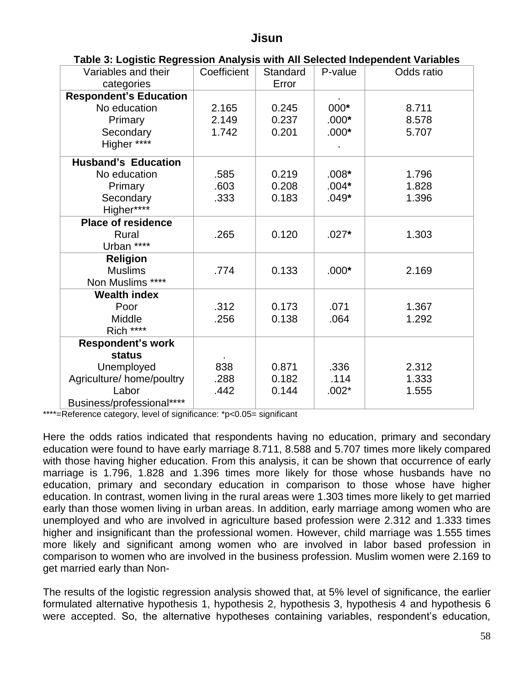| Variables and their<br>categories | Coefficient | Standard<br>Error | P-value | Odds ratio |
|-----------------------------------|-------------|-------------------|---------|------------|
| <b>Respondent's Education</b>     |             |                   |         |            |
| No education                      | 2.165       | 0.245             | 000*    | 8.711      |
| Primary                           | 2.149       | 0.237             | $.000*$ | 8.578      |
| Secondary                         | 1.742       | 0.201             | $.000*$ | 5.707      |
| Higher ****                       |             |                   |         |            |
| <b>Husband's Education</b>        |             |                   |         |            |
| No education                      | .585        | 0.219             | $.008*$ | 1.796      |
| Primary                           | .603        | 0.208             | $.004*$ | 1.828      |
| Secondary                         | .333        | 0.183             | $.049*$ | 1.396      |
| Higher****                        |             |                   |         |            |
| <b>Place of residence</b>         |             |                   |         |            |
| Rural                             | .265        | 0.120             | $.027*$ | 1.303      |
| Urban ****                        |             |                   |         |            |
| <b>Religion</b>                   |             |                   |         |            |
| <b>Muslims</b>                    | .774        | 0.133             | $.000*$ | 2.169      |
| Non Muslims ****                  |             |                   |         |            |
| <b>Wealth index</b>               |             |                   |         |            |
| Poor                              | .312        | 0.173             | .071    | 1.367      |
| Middle                            | .256        | 0.138             | .064    | 1.292      |
| Rich ****                         |             |                   |         |            |
| <b>Respondent's work</b>          |             |                   |         |            |
| <b>status</b>                     |             |                   |         |            |
| Unemployed                        | 838         | 0.871             | .336    | 2.312      |
| Agriculture/home/poultry          | .288        | 0.182             | .114    | 1.333      |
| Labor                             | .442        | 0.144             | $.002*$ | 1.555      |
| Business/professional****         |             |                   |         |            |

#### **Table 3: Logistic Regression Analysis with All Selected Independent Variables**

\*\*\*\*=Reference category, level of significance: \*p<0.05= significant

Here the odds ratios indicated that respondents having no education, primary and secondary education were found to have early marriage 8.711, 8.588 and 5.707 times more likely compared with those having higher education. From this analysis, it can be shown that occurrence of early marriage is 1.796, 1.828 and 1.396 times more likely for those whose husbands have no education, primary and secondary education in comparison to those whose have higher education. In contrast, women living in the rural areas were 1.303 times more likely to get married early than those women living in urban areas. In addition, early marriage among women who are unemployed and who are involved in agriculture based profession were 2.312 and 1.333 times higher and insignificant than the professional women. However, child marriage was 1.555 times more likely and significant among women who are involved in labor based profession in comparison to women who are involved in the business profession. Muslim women were 2.169 to get married early than Non-

The results of the logistic regression analysis showed that, at 5% level of significance, the earlier formulated alternative hypothesis 1, hypothesis 2, hypothesis 3, hypothesis 4 and hypothesis 6 were accepted. So, the alternative hypotheses containing variables, respondent's education,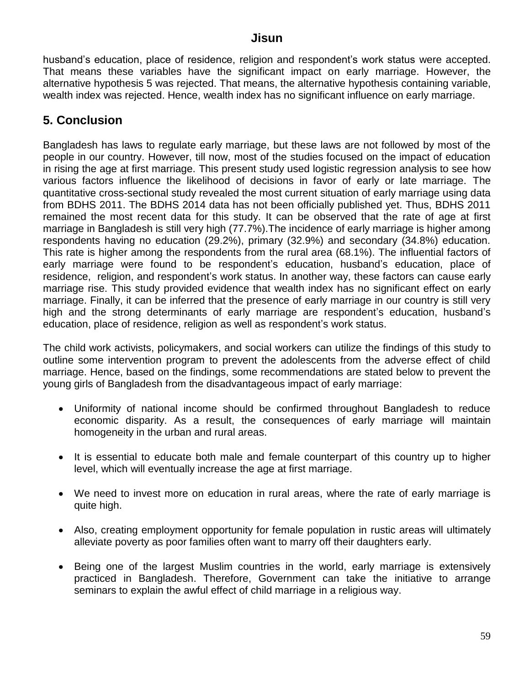husband's education, place of residence, religion and respondent's work status were accepted. That means these variables have the significant impact on early marriage. However, the alternative hypothesis 5 was rejected. That means, the alternative hypothesis containing variable, wealth index was rejected. Hence, wealth index has no significant influence on early marriage.

## **5. Conclusion**

Bangladesh has laws to regulate early marriage, but these laws are not followed by most of the people in our country. However, till now, most of the studies focused on the impact of education in rising the age at first marriage. This present study used logistic regression analysis to see how various factors influence the likelihood of decisions in favor of early or late marriage. The quantitative cross-sectional study revealed the most current situation of early marriage using data from BDHS 2011. The BDHS 2014 data has not been officially published yet. Thus, BDHS 2011 remained the most recent data for this study. It can be observed that the rate of age at first marriage in Bangladesh is still very high (77.7%).The incidence of early marriage is higher among respondents having no education (29.2%), primary (32.9%) and secondary (34.8%) education. This rate is higher among the respondents from the rural area (68.1%). The influential factors of early marriage were found to be respondent's education, husband's education, place of residence, religion, and respondent"s work status. In another way, these factors can cause early marriage rise. This study provided evidence that wealth index has no significant effect on early marriage. Finally, it can be inferred that the presence of early marriage in our country is still very high and the strong determinants of early marriage are respondent's education, husband's education, place of residence, religion as well as respondent's work status.

The child work activists, policymakers, and social workers can utilize the findings of this study to outline some intervention program to prevent the adolescents from the adverse effect of child marriage. Hence, based on the findings, some recommendations are stated below to prevent the young girls of Bangladesh from the disadvantageous impact of early marriage:

- Uniformity of national income should be confirmed throughout Bangladesh to reduce economic disparity. As a result, the consequences of early marriage will maintain homogeneity in the urban and rural areas.
- It is essential to educate both male and female counterpart of this country up to higher level, which will eventually increase the age at first marriage.
- We need to invest more on education in rural areas, where the rate of early marriage is quite high.
- Also, creating employment opportunity for female population in rustic areas will ultimately alleviate poverty as poor families often want to marry off their daughters early.
- Being one of the largest Muslim countries in the world, early marriage is extensively practiced in Bangladesh. Therefore, Government can take the initiative to arrange seminars to explain the awful effect of child marriage in a religious way.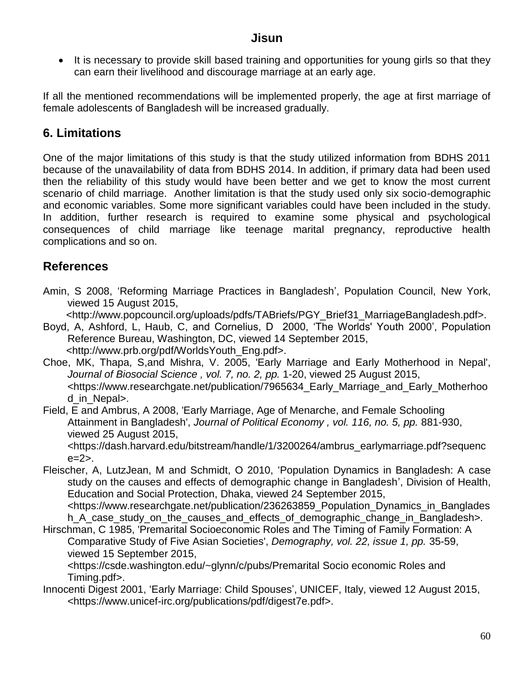• It is necessary to provide skill based training and opportunities for young girls so that they can earn their livelihood and discourage marriage at an early age.

If all the mentioned recommendations will be implemented properly, the age at first marriage of female adolescents of Bangladesh will be increased gradually.

## **6. Limitations**

One of the major limitations of this study is that the study utilized information from BDHS 2011 because of the unavailability of data from BDHS 2014. In addition, if primary data had been used then the reliability of this study would have been better and we get to know the most current scenario of child marriage. Another limitation is that the study used only six socio-demographic and economic variables. Some more significant variables could have been included in the study. In addition, further research is required to examine some physical and psychological consequences of child marriage like teenage marital pregnancy, reproductive health complications and so on.

## **References**

Amin, S 2008, "Reforming Marriage Practices in Bangladesh", Population Council, New York, viewed 15 August 2015,

<http://www.popcouncil.org/uploads/pdfs/TABriefs/PGY\_Brief31\_MarriageBangladesh.pdf>.

- Boyd, A, Ashford, L, Haub, C, and Cornelius, D 2000, "The Worlds' Youth 2000", Population Reference Bureau, Washington, DC, viewed 14 September 2015, <http://www.prb.org/pdf/WorldsYouth\_Eng.pdf>.
- Choe, MK, Thapa, S,and Mishra, V. 2005, 'Early Marriage and Early Motherhood in Nepal', *Journal of Biosocial Science , vol. 7, no. 2, pp.* 1-20, viewed 25 August 2015, <https://www.researchgate.net/publication/7965634\_Early\_Marriage\_and\_Early\_Motherhoo d in Nepal>.
- Field, E and Ambrus, A 2008, 'Early Marriage, Age of Menarche, and Female Schooling Attainment in Bangladesh', *Journal of Political Economy , vol. 116, no. 5, pp.* 881-930, viewed 25 August 2015, <https://dash.harvard.edu/bitstream/handle/1/3200264/ambrus\_earlymarriage.pdf?sequenc

 $e=2$ 

Fleischer, A, LutzJean, M and Schmidt, O 2010, "Population Dynamics in Bangladesh: A case study on the causes and effects of demographic change in Bangladesh", Division of Health, Education and Social Protection, Dhaka, viewed 24 September 2015, <https://www.researchgate.net/publication/236263859\_Population\_Dynamics\_in\_Banglades h A case study on the causes and effects of demographic change in Bangladesh>.

Hirschman, C 1985, 'Premarital Socioeconomic Roles and The Timing of Family Formation: A Comparative Study of Five Asian Societies', *Demography, vol. 22, issue 1, pp.* 35-59, viewed 15 September 2015,

<https://csde.washington.edu/~glynn/c/pubs/Premarital Socio economic Roles and Timing.pdf>.

Innocenti Digest 2001, 'Early Marriage: Child Spouses', UNICEF, Italy, viewed 12 August 2015, <https://www.unicef-irc.org/publications/pdf/digest7e.pdf>.